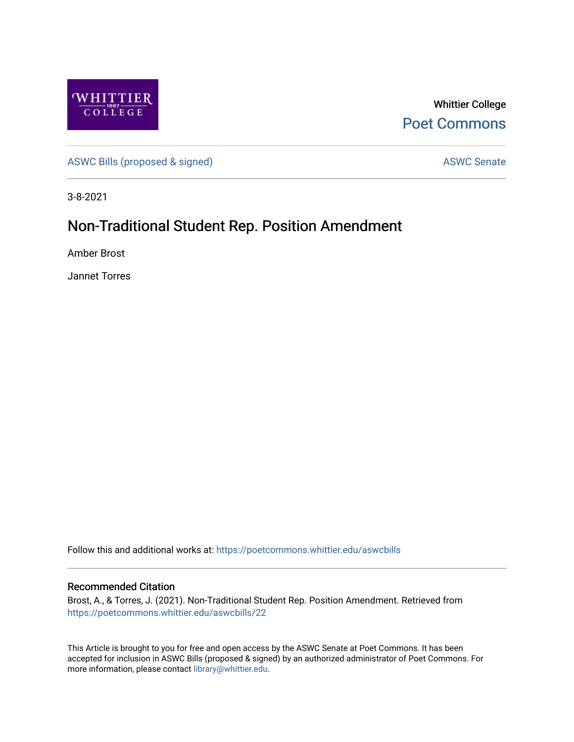

Whittier College [Poet Commons](https://poetcommons.whittier.edu/) 

[ASWC Bills \(proposed & signed\)](https://poetcommons.whittier.edu/aswcbills) ASWC Senate

3-8-2021

## Non-Traditional Student Rep. Position Amendment

Amber Brost

Jannet Torres

Follow this and additional works at: [https://poetcommons.whittier.edu/aswcbills](https://poetcommons.whittier.edu/aswcbills?utm_source=poetcommons.whittier.edu%2Faswcbills%2F22&utm_medium=PDF&utm_campaign=PDFCoverPages) 

## Recommended Citation

Brost, A., & Torres, J. (2021). Non-Traditional Student Rep. Position Amendment. Retrieved from [https://poetcommons.whittier.edu/aswcbills/22](https://poetcommons.whittier.edu/aswcbills/22?utm_source=poetcommons.whittier.edu%2Faswcbills%2F22&utm_medium=PDF&utm_campaign=PDFCoverPages)

This Article is brought to you for free and open access by the ASWC Senate at Poet Commons. It has been accepted for inclusion in ASWC Bills (proposed & signed) by an authorized administrator of Poet Commons. For more information, please contact [library@whittier.edu.](mailto:library@whittier.edu)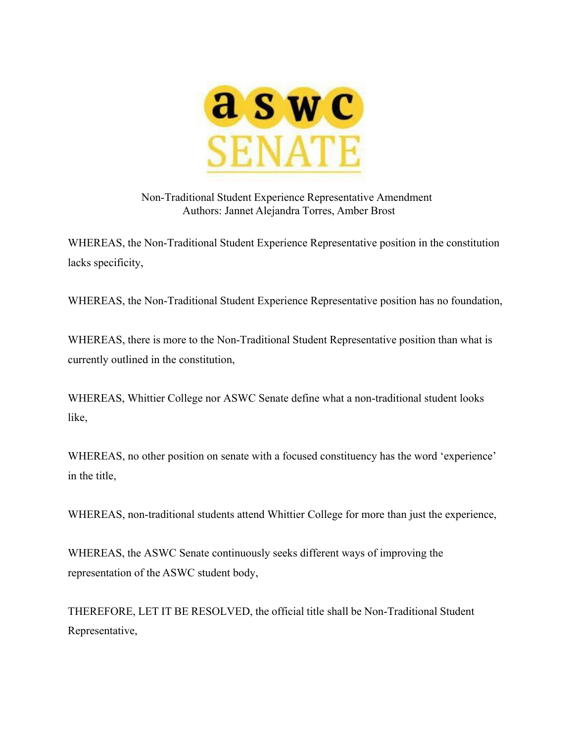

Non-Traditional Student Experience Representative Amendment Authors: Jannet Alejandra Torres, Amber Brost

WHEREAS, the Non-Traditional Student Experience Representative position in the constitution lacks specificity,

WHEREAS, the Non-Traditional Student Experience Representative position has no foundation,

WHEREAS, there is more to the Non-Traditional Student Representative position than what is currently outlined in the constitution,

WHEREAS, Whittier College nor ASWC Senate define what a non-traditional student looks like,

WHEREAS, no other position on senate with a focused constituency has the word 'experience' in the title,

WHEREAS, non-traditional students attend Whittier College for more than just the experience,

WHEREAS, the ASWC Senate continuously seeks different ways of improving the representation of the ASWC student body,

THEREFORE, LET IT BE RESOLVED, the official title shall be Non-Traditional Student Representative,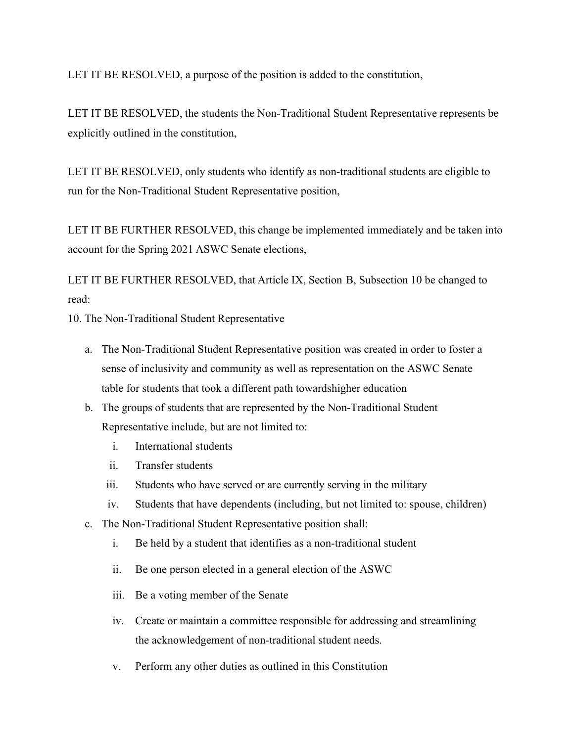LET IT BE RESOLVED, a purpose of the position is added to the constitution,

LET IT BE RESOLVED, the students the Non-Traditional Student Representative represents be explicitly outlined in the constitution,

LET IT BE RESOLVED, only students who identify as non-traditional students are eligible to run for the Non-Traditional Student Representative position,

LET IT BE FURTHER RESOLVED, this change be implemented immediately and be taken into account for the Spring 2021 ASWC Senate elections,

LET IT BE FURTHER RESOLVED, that Article IX, Section B, Subsection 10 be changed to read:

10. The Non-Traditional Student Representative

- a. The Non-Traditional Student Representative position was created in order to foster a sense of inclusivity and community as well as representation on the ASWC Senate table for students that took a different path towardshigher education
- b. The groups of students that are represented by the Non-Traditional Student Representative include, but are not limited to:
	- i. International students
	- ii. Transfer students
	- iii. Students who have served or are currently serving in the military
	- iv. Students that have dependents (including, but not limited to: spouse, children)
- c. The Non-Traditional Student Representative position shall:
	- i. Be held by a student that identifies as a non-traditional student
	- ii. Be one person elected in a general election of the ASWC
	- iii. Be a voting member of the Senate
	- iv. Create or maintain a committee responsible for addressing and streamlining the acknowledgement of non-traditional student needs.
	- v. Perform any other duties as outlined in this Constitution